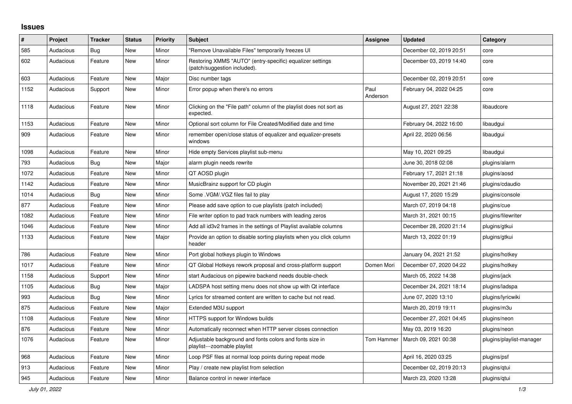## **Issues**

| #    | Project   | <b>Tracker</b> | <b>Status</b> | <b>Priority</b> | <b>Subject</b>                                                                            | Assignee         | <b>Updated</b>          | Category                 |
|------|-----------|----------------|---------------|-----------------|-------------------------------------------------------------------------------------------|------------------|-------------------------|--------------------------|
| 585  | Audacious | Bug            | <b>New</b>    | Minor           | "Remove Unavailable Files" temporarily freezes UI                                         |                  | December 02, 2019 20:51 | core                     |
| 602  | Audacious | Feature        | <b>New</b>    | Minor           | Restoring XMMS "AUTO" (entry-specific) equalizer settings<br>(patch/suggestion included). |                  | December 03, 2019 14:40 | core                     |
| 603  | Audacious | Feature        | <b>New</b>    | Major           | Disc number tags                                                                          |                  | December 02, 2019 20:51 | core                     |
| 1152 | Audacious | Support        | <b>New</b>    | Minor           | Error popup when there's no errors                                                        | Paul<br>Anderson | February 04, 2022 04:25 | core                     |
| 1118 | Audacious | Feature        | New           | Minor           | Clicking on the "File path" column of the playlist does not sort as<br>expected.          |                  | August 27, 2021 22:38   | libaudcore               |
| 1153 | Audacious | Feature        | <b>New</b>    | Minor           | Optional sort column for File Created/Modified date and time                              |                  | February 04, 2022 16:00 | libaudgui                |
| 909  | Audacious | Feature        | New           | Minor           | remember open/close status of equalizer and equalizer-presets<br>windows                  |                  | April 22, 2020 06:56    | libaudgui                |
| 1098 | Audacious | Feature        | <b>New</b>    | Minor           | Hide empty Services playlist sub-menu                                                     |                  | May 10, 2021 09:25      | libaudgui                |
| 793  | Audacious | Bug            | <b>New</b>    | Major           | alarm plugin needs rewrite                                                                |                  | June 30, 2018 02:08     | plugins/alarm            |
| 1072 | Audacious | Feature        | <b>New</b>    | Minor           | QT AOSD plugin                                                                            |                  | February 17, 2021 21:18 | plugins/aosd             |
| 1142 | Audacious | Feature        | New           | Minor           | MusicBrainz support for CD plugin                                                         |                  | November 20, 2021 21:46 | plugins/cdaudio          |
| 1014 | Audacious | Bug            | <b>New</b>    | Minor           | Some . VGM/. VGZ files fail to play                                                       |                  | August 17, 2020 15:29   | plugins/console          |
| 877  | Audacious | Feature        | <b>New</b>    | Minor           | Please add save option to cue playlists (patch included)                                  |                  | March 07, 2019 04:18    | plugins/cue              |
| 1082 | Audacious | Feature        | <b>New</b>    | Minor           | File writer option to pad track numbers with leading zeros                                |                  | March 31, 2021 00:15    | plugins/filewriter       |
| 1046 | Audacious | Feature        | New           | Minor           | Add all id3v2 frames in the settings of Playlist available columns                        |                  | December 28, 2020 21:14 | plugins/gtkui            |
| 1133 | Audacious | Feature        | New           | Major           | Provide an option to disable sorting playlists when you click column<br>header            |                  | March 13, 2022 01:19    | plugins/gtkui            |
| 786  | Audacious | Feature        | New           | Minor           | Port global hotkeys plugin to Windows                                                     |                  | January 04, 2021 21:52  | plugins/hotkey           |
| 1017 | Audacious | Feature        | New           | Minor           | QT Global Hotkeys rework proposal and cross-platform support                              | Domen Mori       | December 07, 2020 04:22 | plugins/hotkey           |
| 1158 | Audacious | Support        | New           | Minor           | start Audacious on pipewire backend needs double-check                                    |                  | March 05, 2022 14:38    | plugins/jack             |
| 1105 | Audacious | Bug            | <b>New</b>    | Major           | LADSPA host setting menu does not show up with Qt interface                               |                  | December 24, 2021 18:14 | plugins/ladspa           |
| 993  | Audacious | <b>Bug</b>     | <b>New</b>    | Minor           | Lyrics for streamed content are written to cache but not read.                            |                  | June 07, 2020 13:10     | plugins/lyricwiki        |
| 875  | Audacious | Feature        | <b>New</b>    | Major           | Extended M3U support                                                                      |                  | March 20, 2019 19:11    | plugins/m3u              |
| 1108 | Audacious | Feature        | New           | Minor           | HTTPS support for Windows builds                                                          |                  | December 27, 2021 04:45 | plugins/neon             |
| 876  | Audacious | Feature        | New           | Minor           | Automatically reconnect when HTTP server closes connection                                |                  | May 03, 2019 16:20      | plugins/neon             |
| 1076 | Audacious | Feature        | New           | Minor           | Adjustable background and fonts colors and fonts size in<br>playlist---zoomable playlist  | Tom Hammer       | March 09, 2021 00:38    | plugins/playlist-manager |
| 968  | Audacious | Feature        | New           | Minor           | Loop PSF files at normal loop points during repeat mode                                   |                  | April 16, 2020 03:25    | plugins/psf              |
| 913  | Audacious | Feature        | New           | Minor           | Play / create new playlist from selection                                                 |                  | December 02, 2019 20:13 | plugins/qtui             |
| 945  | Audacious | Feature        | <b>New</b>    | Minor           | Balance control in newer interface                                                        |                  | March 23, 2020 13:28    | plugins/gtui             |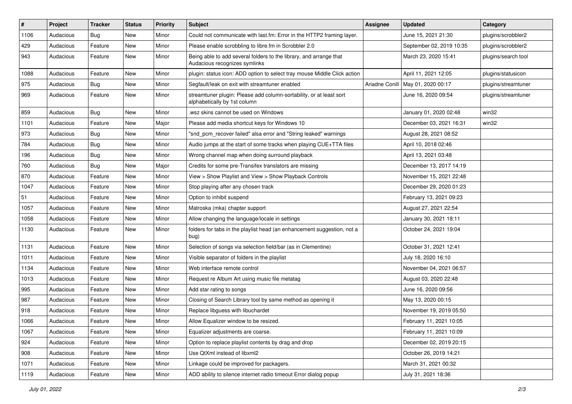| #    | Project   | <b>Tracker</b> | <b>Status</b> | <b>Priority</b> | Subject                                                                                             | Assignee       | <b>Updated</b>           | Category            |
|------|-----------|----------------|---------------|-----------------|-----------------------------------------------------------------------------------------------------|----------------|--------------------------|---------------------|
| 1106 | Audacious | <b>Bug</b>     | New           | Minor           | Could not communicate with last.fm: Error in the HTTP2 framing layer.                               |                | June 15, 2021 21:30      | plugins/scrobbler2  |
| 429  | Audacious | Feature        | New           | Minor           | Please enable scrobbling to libre.fm in Scrobbler 2.0                                               |                | September 02, 2019 10:35 | plugins/scrobbler2  |
| 943  | Audacious | Feature        | New           | Minor           | Being able to add several folders to the library, and arrange that<br>Audacious recognizes symlinks |                | March 23, 2020 15:41     | plugins/search tool |
| 1088 | Audacious | Feature        | <b>New</b>    | Minor           | plugin: status icon: ADD option to select tray mouse Middle Click action                            |                | April 11, 2021 12:05     | plugins/statusicon  |
| 975  | Audacious | Bug            | New           | Minor           | Segfault/leak on exit with streamtuner enabled                                                      | Ariadne Conill | May 01, 2020 00:17       | plugins/streamtuner |
| 969  | Audacious | Feature        | New           | Minor           | streamtuner plugin: Please add column-sortability, or at least sort<br>alphabetically by 1st column |                | June 16, 2020 09:54      | plugins/streamtuner |
| 859  | Audacious | <b>Bug</b>     | New           | Minor           | wsz skins cannot be used on Windows                                                                 |                | January 01, 2020 02:48   | win32               |
| 1101 | Audacious | Feature        | New           | Major           | Please add media shortcut keys for Windows 10                                                       |                | December 03, 2021 16:31  | win32               |
| 973  | Audacious | <b>Bug</b>     | New           | Minor           | "snd_pcm_recover failed" alsa error and "String leaked" warnings                                    |                | August 28, 2021 08:52    |                     |
| 784  | Audacious | <b>Bug</b>     | New           | Minor           | Audio jumps at the start of some tracks when playing CUE+TTA files                                  |                | April 10, 2018 02:46     |                     |
| 196  | Audacious | <b>Bug</b>     | New           | Minor           | Wrong channel map when doing surround playback                                                      |                | April 13, 2021 03:48     |                     |
| 760  | Audacious | <b>Bug</b>     | New           | Major           | Credits for some pre-Transifex translators are missing                                              |                | December 13, 2017 14:19  |                     |
| 870  | Audacious | Feature        | New           | Minor           | View > Show Playlist and View > Show Playback Controls                                              |                | November 15, 2021 22:48  |                     |
| 1047 | Audacious | Feature        | <b>New</b>    | Minor           | Stop playing after any chosen track                                                                 |                | December 29, 2020 01:23  |                     |
| 51   | Audacious | Feature        | New           | Minor           | Option to inhibit suspend                                                                           |                | February 13, 2021 09:23  |                     |
| 1057 | Audacious | Feature        | New           | Minor           | Matroska (mka) chapter support                                                                      |                | August 27, 2021 22:54    |                     |
| 1058 | Audacious | Feature        | New           | Minor           | Allow changing the language/locale in settings                                                      |                | January 30, 2021 18:11   |                     |
| 1130 | Audacious | Feature        | <b>New</b>    | Minor           | folders for tabs in the playlist head (an enhancement suggestion, not a<br>bug)                     |                | October 24, 2021 19:04   |                     |
| 1131 | Audacious | Feature        | New           | Minor           | Selection of songs via selection field/bar (as in Clementine)                                       |                | October 31, 2021 12:41   |                     |
| 1011 | Audacious | Feature        | New           | Minor           | Visible separator of folders in the playlist                                                        |                | July 18, 2020 16:10      |                     |
| 1134 | Audacious | Feature        | <b>New</b>    | Minor           | Web interface remote control                                                                        |                | November 04, 2021 06:57  |                     |
| 1013 | Audacious | Feature        | New           | Minor           | Request re Album Art using music file metatag                                                       |                | August 03, 2020 22:48    |                     |
| 995  | Audacious | Feature        | New           | Minor           | Add star rating to songs                                                                            |                | June 16, 2020 09:56      |                     |
| 987  | Audacious | Feature        | New           | Minor           | Closing of Search Library tool by same method as opening it                                         |                | May 13, 2020 00:15       |                     |
| 918  | Audacious | Feature        | New           | Minor           | Replace libguess with libuchardet                                                                   |                | November 19, 2019 05:50  |                     |
| 1066 | Audacious | Feature        | New           | Minor           | Allow Equalizer window to be resized.                                                               |                | February 11, 2021 10:05  |                     |
| 1067 | Audacious | Feature        | New           | Minor           | Equalizer adjustments are coarse.                                                                   |                | February 11, 2021 10:09  |                     |
| 924  | Audacious | Feature        | New           | Minor           | Option to replace playlist contents by drag and drop                                                |                | December 02, 2019 20:15  |                     |
| 908  | Audacious | Feature        | New           | Minor           | Use QtXml instead of libxml2                                                                        |                | October 26, 2019 14:21   |                     |
| 1071 | Audacious | Feature        | New           | Minor           | Linkage could be improved for packagers.                                                            |                | March 31, 2021 00:32     |                     |
| 1119 | Audacious | Feature        | New           | Minor           | ADD ability to silence internet radio timeout Error dialog popup                                    |                | July 31, 2021 18:36      |                     |